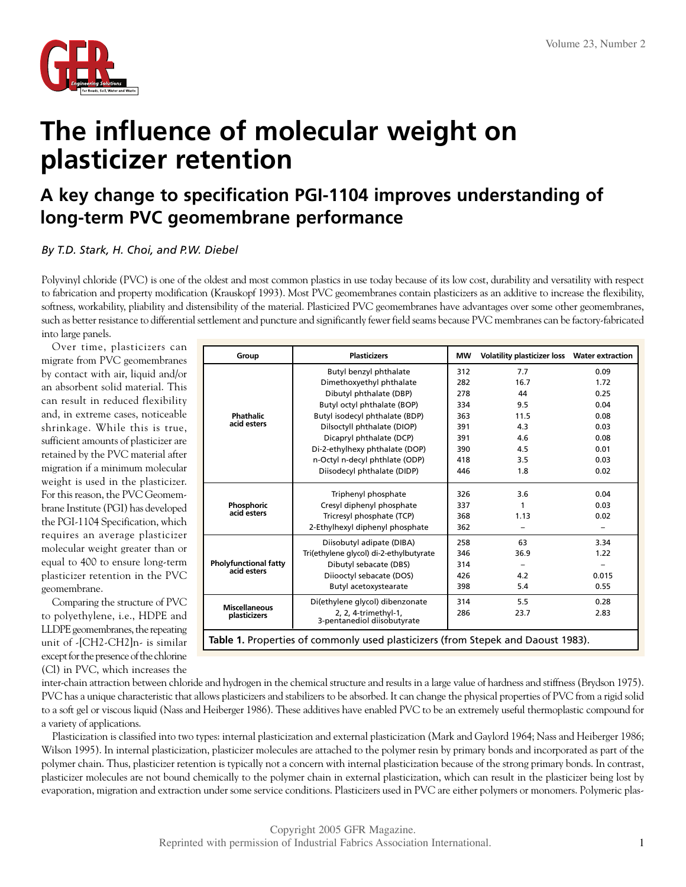

## **The influence of molecular weight on plasticizer retention**

## **A key change to specification PGI-1104 improves understanding of long-term PVC geomembrane performance**

*By T.D. Stark, H. Choi, and P.W. Diebel*

Polyvinyl chloride (PVC) is one of the oldest and most common plastics in use today because of its low cost, durability and versatility with respect to fabrication and property modification (Krauskopf 1993). Most PVC geomembranes contain plasticizers as an additive to increase the flexibility, softness, workability, pliability and distensibility of the material. Plasticized PVC geomembranes have advantages over some other geomembranes, such as better resistance to differential settlement and puncture and significantly fewer field seams because PVC membranes can be factory-fabricated into large panels.

Over time, plasticizers can migrate from PVC geomembranes by contact with air, liquid and/or an absorbent solid material. This can result in reduced flexibility and, in extreme cases, noticeable shrinkage. While this is true, sufficient amounts of plasticizer are retained by the PVC material after migration if a minimum molecular weight is used in the plasticizer. For this reason, the PVC Geomembrane Institute (PGI) has developed the PGI-1104 Specification, which requires an average plasticizer molecular weight greater than or equal to 400 to ensure long-term plasticizer retention in the PVC geomembrane.

Comparing the structure of PVC to polyethylene, i.e., HDPE and LLDPE geomembranes, the repeating unit of -[CH2-CH2]n- is similar except for the presence of the chlorine (Cl) in PVC, which increases the

| Group                                                                            | <b>Plasticizers</b>                                 | <b>MW</b> | Volatility plasticizer loss  Water extraction |       |  |  |  |
|----------------------------------------------------------------------------------|-----------------------------------------------------|-----------|-----------------------------------------------|-------|--|--|--|
| Phathalic<br>acid esters                                                         | Butyl benzyl phthalate                              |           | 7.7                                           | 0.09  |  |  |  |
|                                                                                  | Dimethoxyethyl phthalate                            | 282       | 16.7                                          | 1.72  |  |  |  |
|                                                                                  | Dibutyl phthalate (DBP)                             | 278       | 44                                            | 0.25  |  |  |  |
|                                                                                  | Butyl octyl phthalate (BOP)                         |           | 9.5                                           | 0.04  |  |  |  |
|                                                                                  | Butyl isodecyl phthalate (BDP)                      | 363       | 11.5                                          | 0.08  |  |  |  |
|                                                                                  | Dilsoctyll phthalate (DIOP)                         | 391       | 4.3                                           | 0.03  |  |  |  |
|                                                                                  | Dicapryl phthalate (DCP)                            | 391       | 4.6                                           | 0.08  |  |  |  |
|                                                                                  | Di-2-ethylhexy phthalate (DOP)                      | 390       | 4.5                                           | 0.01  |  |  |  |
|                                                                                  | n-Octyl n-decyl phthlate (ODP)                      | 418       | 3.5                                           | 0.03  |  |  |  |
|                                                                                  | Diisodecyl phthalate (DIDP)                         | 446       | 1.8                                           | 0.02  |  |  |  |
| Phosphoric<br>acid esters                                                        | Triphenyl phosphate                                 | 326       | 3.6                                           | 0.04  |  |  |  |
|                                                                                  | Cresyl diphenyl phosphate                           | 337       | 1                                             | 0.03  |  |  |  |
|                                                                                  | Tricresyl phosphate (TCP)                           | 368       | 1.13                                          | 0.02  |  |  |  |
|                                                                                  | 2-Ethylhexyl diphenyl phosphate                     | 362       |                                               |       |  |  |  |
| <b>Pholyfunctional fatty</b><br>acid esters                                      | Diisobutyl adipate (DIBA)                           | 258       | 63                                            | 3.34  |  |  |  |
|                                                                                  | Tri(ethylene glycol) di-2-ethylbutyrate             | 346       | 36.9                                          | 1.22  |  |  |  |
|                                                                                  | Dibutyl sebacate (DBS)                              | 314       |                                               |       |  |  |  |
|                                                                                  | Diiooctyl sebacate (DOS)                            | 426       | 4.2                                           | 0.015 |  |  |  |
|                                                                                  | Butyl acetoxystearate                               | 398       | 5.4                                           | 0.55  |  |  |  |
| <b>Miscellaneous</b><br>plasticizers                                             | Di(ethylene glycol) dibenzonate                     | 314       | 5.5                                           | 0.28  |  |  |  |
|                                                                                  | 2, 2, 4-trimethyl-1,<br>3-pentanediol diisobutyrate | 286       | 23.7                                          | 2.83  |  |  |  |
| Table 1. Properties of commonly used plasticizers (from Stepek and Daoust 1983). |                                                     |           |                                               |       |  |  |  |

inter-chain attraction between chloride and hydrogen in the chemical structure and results in a large value of hardness and stiffness (Brydson 1975). PVC has a unique characteristic that allows plasticizers and stabilizers to be absorbed. It can change the physical properties of PVC from a rigid solid to a soft gel or viscous liquid (Nass and Heiberger 1986). These additives have enabled PVC to be an extremely useful thermoplastic compound for a variety of applications.

Plasticization is classified into two types: internal plasticization and external plasticization (Mark and Gaylord 1964; Nass and Heiberger 1986; Wilson 1995). In internal plasticization, plasticizer molecules are attached to the polymer resin by primary bonds and incorporated as part of the polymer chain. Thus, plasticizer retention is typically not a concern with internal plasticization because of the strong primary bonds. In contrast, plasticizer molecules are not bound chemically to the polymer chain in external plasticization, which can result in the plasticizer being lost by evaporation, migration and extraction under some service conditions. Plasticizers used in PVC are either polymers or monomers. Polymeric plas-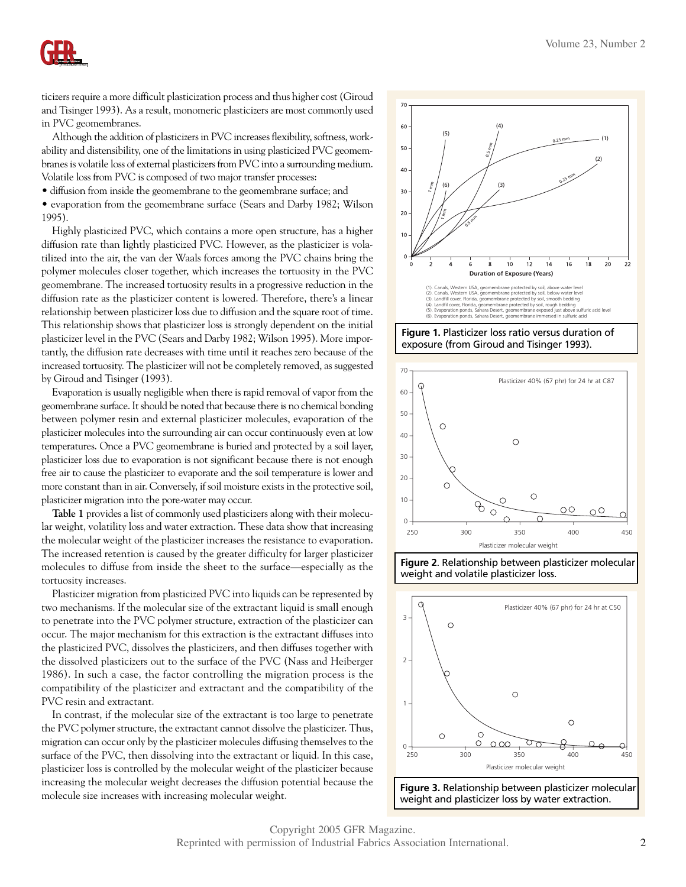

ticizers require a more difficult plasticization process and thus higher cost (Giroud and Tisinger 1993). As a result, monomeric plasticizers are most commonly used in PVC geomembranes.

Although the addition of plasticizers in PVC increases flexibility, softness, workability and distensibility, one of the limitations in using plasticized PVC geomembranes is volatile loss of external plasticizers from PVC into a surrounding medium. Volatile loss from PVC is composed of two major transfer processes:

• diffusion from inside the geomembrane to the geomembrane surface; and

• evaporation from the geomembrane surface (Sears and Darby 1982; Wilson 1995).

Highly plasticized PVC, which contains a more open structure, has a higher diffusion rate than lightly plasticized PVC. However, as the plasticizer is volatilized into the air, the van der Waals forces among the PVC chains bring the polymer molecules closer together, which increases the tortuosity in the PVC geomembrane. The increased tortuosity results in a progressive reduction in the diffusion rate as the plasticizer content is lowered. Therefore, there's a linear relationship between plasticizer loss due to diffusion and the square root of time. This relationship shows that plasticizer loss is strongly dependent on the initial plasticizer level in the PVC (Sears and Darby 1982; Wilson 1995). More importantly, the diffusion rate decreases with time until it reaches zero because of the increased tortuosity. The plasticizer will not be completely removed, as suggested by Giroud and Tisinger (1993).

Evaporation is usually negligible when there is rapid removal of vapor from the geomembrane surface. It should be noted that because there is no chemical bonding between polymer resin and external plasticizer molecules, evaporation of the plasticizer molecules into the surrounding air can occur continuously even at low temperatures. Once a PVC geomembrane is buried and protected by a soil layer, plasticizer loss due to evaporation is not significant because there is not enough free air to cause the plasticizer to evaporate and the soil temperature is lower and more constant than in air. Conversely, if soil moisture exists in the protective soil, plasticizer migration into the pore-water may occur.

**Table 1** provides a list of commonly used plasticizers along with their molecular weight, volatility loss and water extraction. These data show that increasing the molecular weight of the plasticizer increases the resistance to evaporation. The increased retention is caused by the greater difficulty for larger plasticizer molecules to diffuse from inside the sheet to the surface—especially as the tortuosity increases.

Plasticizer migration from plasticized PVC into liquids can be represented by two mechanisms. If the molecular size of the extractant liquid is small enough to penetrate into the PVC polymer structure, extraction of the plasticizer can occur. The major mechanism for this extraction is the extractant diffuses into the plasticized PVC, dissolves the plasticizers, and then diffuses together with the dissolved plasticizers out to the surface of the PVC (Nass and Heiberger 1986). In such a case, the factor controlling the migration process is the compatibility of the plasticizer and extractant and the compatibility of the PVC resin and extractant.

In contrast, if the molecular size of the extractant is too large to penetrate the PVC polymer structure, the extractant cannot dissolve the plasticizer. Thus, migration can occur only by the plasticizer molecules diffusing themselves to the surface of the PVC, then dissolving into the extractant or liquid. In this case, plasticizer loss is controlled by the molecular weight of the plasticizer because increasing the molecular weight decreases the diffusion potential because the molecule size increases with increasing molecular weight.



**Figure 1.** Plasticizer loss ratio versus duration of exposure (from Giroud and Tisinger 1993).



**Figure 2**. Relationship between plasticizer molecular weight and volatile plasticizer loss.

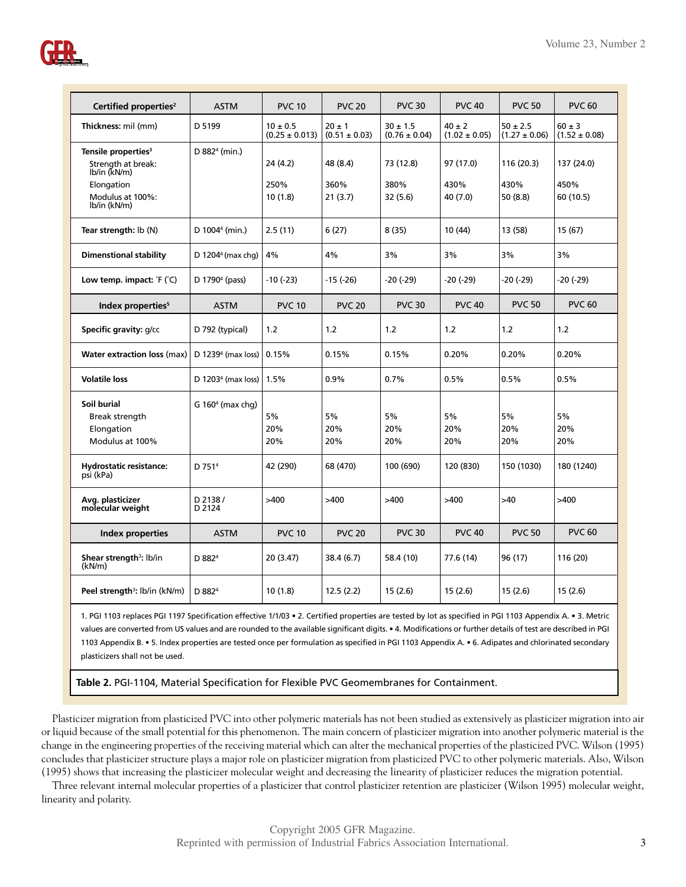

| Certified properties <sup>2</sup>             | <b>ASTM</b>                | <b>PVC 10</b>      | <b>PVC 20</b>     | <b>PVC 30</b>     | <b>PVC 40</b>     | <b>PVC 50</b>     | <b>PVC 60</b>     |
|-----------------------------------------------|----------------------------|--------------------|-------------------|-------------------|-------------------|-------------------|-------------------|
| Thickness: mil (mm)                           | D 5199                     | $10 \pm 0.5$       | $20 \pm 1$        | $30 \pm 1.5$      | $40 \pm 2$        | $50 \pm 2.5$      | $60 \pm 3$        |
|                                               |                            | $(0.25 \pm 0.013)$ | $(0.51 \pm 0.03)$ | $(0.76 \pm 0.04)$ | $(1.02 \pm 0.05)$ | $(1.27 \pm 0.06)$ | $(1.52 \pm 0.08)$ |
| Tensile properties <sup>3</sup>               | D 882 <sup>4</sup> (min.)  |                    |                   |                   |                   |                   |                   |
| Strength at break:<br>lb/in (kN/m)            |                            | 24 (4.2)           | 48 (8.4)          | 73 (12.8)         | 97 (17.0)         | 116 (20.3)        | 137 (24.0)        |
| Elongation                                    |                            | 250%               | 360%              | 380%              | 430%              | 430%              | 450%              |
| Modulus at 100%:<br>lb/in (kN/m)              |                            | 10(1.8)            | 21(3.7)           | 32 (5.6)          | 40 (7.0)          | 50 (8.8)          | 60 (10.5)         |
| Tear strength: lb (N)                         | D 1004 <sup>4</sup> (min.) | 2.5(11)            | 6(27)             | 8(35)             | 10 (44)           | 13 (58)           | 15 (67)           |
| <b>Dimenstional stability</b>                 | D 1204 $4$ (max chg)       | 4%                 | 4%                | 3%                | 3%                | 3%                | 3%                |
| Low temp. impact: $F(C)$                      | D 1790 <sup>4</sup> (pass) | $-10(-23)$         | $-15(-26)$        | $-20$ ( $-29$ )   | $-20$ ( $-29$ )   | -20 (-29)         | -20 (-29)         |
| Index properties <sup>5</sup>                 | <b>ASTM</b>                | <b>PVC 10</b>      | <b>PVC 20</b>     | <b>PVC 30</b>     | <b>PVC 40</b>     | <b>PVC 50</b>     | <b>PVC 60</b>     |
| Specific gravity: g/cc                        | D 792 (typical)            | 1.2                | 1.2               | 1.2               | 1.2               | 1.2               | 1.2               |
| <b>Water extraction loss (max)</b>            | D $12394$ (max loss)       | 0.15%              | 0.15%             | 0.15%             | 0.20%             | 0.20%             | 0.20%             |
| <b>Volatile loss</b>                          | D $12034$ (max loss)       | 1.5%               | 0.9%              | 0.7%              | 0.5%              | 0.5%              | 0.5%              |
| Soil burial                                   | G $1604$ (max chg)         |                    |                   |                   |                   |                   |                   |
| Break strength                                |                            | 5%                 | 5%                | 5%                | 5%                | 5%                | 5%                |
| Elongation                                    |                            | 20%                | 20%               | 20%               | 20%               | 20%               | 20%               |
| Modulus at 100%                               |                            | 20%                | 20%               | 20%               | 20%               | 20%               | 20%               |
| <b>Hydrostatic resistance:</b><br>psi (kPa)   | D 751 <sup>4</sup>         | 42 (290)           | 68 (470)          | 100 (690)         | 120 (830)         | 150 (1030)        | 180 (1240)        |
| Avg. plasticizer<br>molecular weight          | D 2138/<br>D 2124          | >400               | >400              | >400              | >400              | >40               | >400              |
| <b>Index properties</b>                       | <b>ASTM</b>                | <b>PVC 10</b>      | <b>PVC 20</b>     | <b>PVC 30</b>     | <b>PVC 40</b>     | <b>PVC 50</b>     | <b>PVC 60</b>     |
| Shear strength <sup>3</sup> : lb/in<br>(kN/m) | D 882 <sup>4</sup>         | 20 (3.47)          | 38.4 (6.7)        | 58.4 (10)         | 77.6 (14)         | 96 (17)           | 116 (20)          |
| Peel strength <sup>3</sup> : lb/in (kN/m)     | D 882 <sup>4</sup>         | 10(1.8)            | 12.5(2.2)         | 15(2.6)           | 15(2.6)           | 15(2.6)           | 15(2.6)           |

1. PGI 1103 replaces PGI 1197 Specification effective 1/1/03 • 2. Certified properties are tested by lot as specified in PGI 1103 Appendix A. • 3. Metric values are converted from US values and are rounded to the available significant digits. • 4. Modifications or further details of test are described in PGI 1103 Appendix B. • 5. Index properties are tested once per formulation as specified in PGI 1103 Appendix A. • 6. Adipates and chlorinated secondary plasticizers shall not be used.

**Table 2.** PGI-1104, Material Specification for Flexible PVC Geomembranes for Containment.

Plasticizer migration from plasticized PVC into other polymeric materials has not been studied as extensively as plasticizer migration into air or liquid because of the small potential for this phenomenon. The main concern of plasticizer migration into another polymeric material is the change in the engineering properties of the receiving material which can alter the mechanical properties of the plasticized PVC. Wilson (1995) concludes that plasticizer structure plays a major role on plasticizer migration from plasticized PVC to other polymeric materials. Also, Wilson (1995) shows that increasing the plasticizer molecular weight and decreasing the linearity of plasticizer reduces the migration potential.

Three relevant internal molecular properties of a plasticizer that control plasticizer retention are plasticizer (Wilson 1995) molecular weight, linearity and polarity.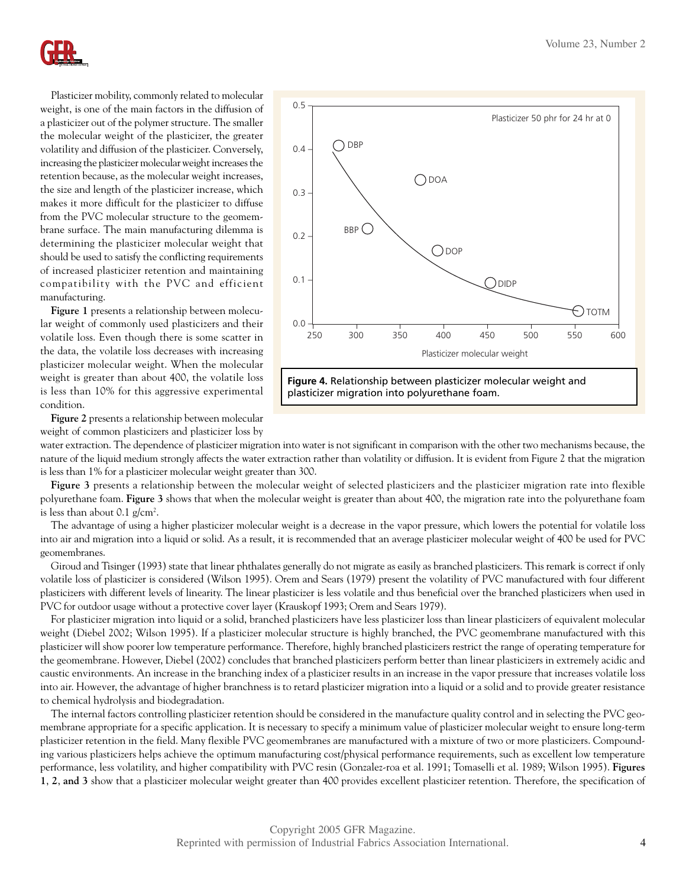

Plasticizer mobility, commonly related to molecular weight, is one of the main factors in the diffusion of a plasticizer out of the polymer structure. The smaller the molecular weight of the plasticizer, the greater volatility and diffusion of the plasticizer. Conversely, increasing the plasticizer molecular weight increases the retention because, as the molecular weight increases, the size and length of the plasticizer increase, which makes it more difficult for the plasticizer to diffuse from the PVC molecular structure to the geomembrane surface. The main manufacturing dilemma is determining the plasticizer molecular weight that should be used to satisfy the conflicting requirements of increased plasticizer retention and maintaining compatibility with the PVC and efficient manufacturing.

**Figure 1** presents a relationship between molecular weight of commonly used plasticizers and their volatile loss. Even though there is some scatter in the data, the volatile loss decreases with increasing plasticizer molecular weight. When the molecular weight is greater than about 400, the volatile loss is less than 10% for this aggressive experimental condition.



**Figure 2** presents a relationship between molecular weight of common plasticizers and plasticizer loss by

water extraction. The dependence of plasticizer migration into water is not significant in comparison with the other two mechanisms because, the nature of the liquid medium strongly affects the water extraction rather than volatility or diffusion. It is evident from Figure 2 that the migration is less than 1% for a plasticizer molecular weight greater than 300.

Figure 3 presents a relationship between the molecular weight of selected plasticizers and the plasticizer migration rate into flexible polyurethane foam. **Figure 3** shows that when the molecular weight is greater than about 400, the migration rate into the polyurethane foam is less than about  $0.1$  g/cm<sup>2</sup>.

The advantage of using a higher plasticizer molecular weight is a decrease in the vapor pressure, which lowers the potential for volatile loss into air and migration into a liquid or solid. As a result, it is recommended that an average plasticizer molecular weight of 400 be used for PVC geomembranes.

Giroud and Tisinger (1993) state that linear phthalates generally do not migrate as easily as branched plasticizers. This remark is correct if only volatile loss of plasticizer is considered (Wilson 1995). Orem and Sears (1979) present the volatility of PVC manufactured with four different plasticizers with different levels of linearity. The linear plasticizer is less volatile and thus beneficial over the branched plasticizers when used in PVC for outdoor usage without a protective cover layer (Krauskopf 1993; Orem and Sears 1979).

For plasticizer migration into liquid or a solid, branched plasticizers have less plasticizer loss than linear plasticizers of equivalent molecular weight (Diebel 2002; Wilson 1995). If a plasticizer molecular structure is highly branched, the PVC geomembrane manufactured with this plasticizer will show poorer low temperature performance. Therefore, highly branched plasticizers restrict the range of operating temperature for the geomembrane. However, Diebel (2002) concludes that branched plasticizers perform better than linear plasticizers in extremely acidic and caustic environments. An increase in the branching index of a plasticizer results in an increase in the vapor pressure that increases volatile loss into air. However, the advantage of higher branchness is to retard plasticizer migration into a liquid or a solid and to provide greater resistance to chemical hydrolysis and biodegradation.

The internal factors controlling plasticizer retention should be considered in the manufacture quality control and in selecting the PVC geomembrane appropriate for a specific application. It is necessary to specify a minimum value of plasticizer molecular weight to ensure long-term plasticizer retention in the field. Many flexible PVC geomembranes are manufactured with a mixture of two or more plasticizers. Compounding various plasticizers helps achieve the optimum manufacturing cost/physical performance requirements, such as excellent low temperature performance, less volatility, and higher compatibility with PVC resin (Gonzalez-roa et al. 1991; Tomaselli et al. 1989; Wilson 1995). **Figures 1**, **2**, **and 3** show that a plasticizer molecular weight greater than 400 provides excellent plasticizer retention. Therefore, the specification of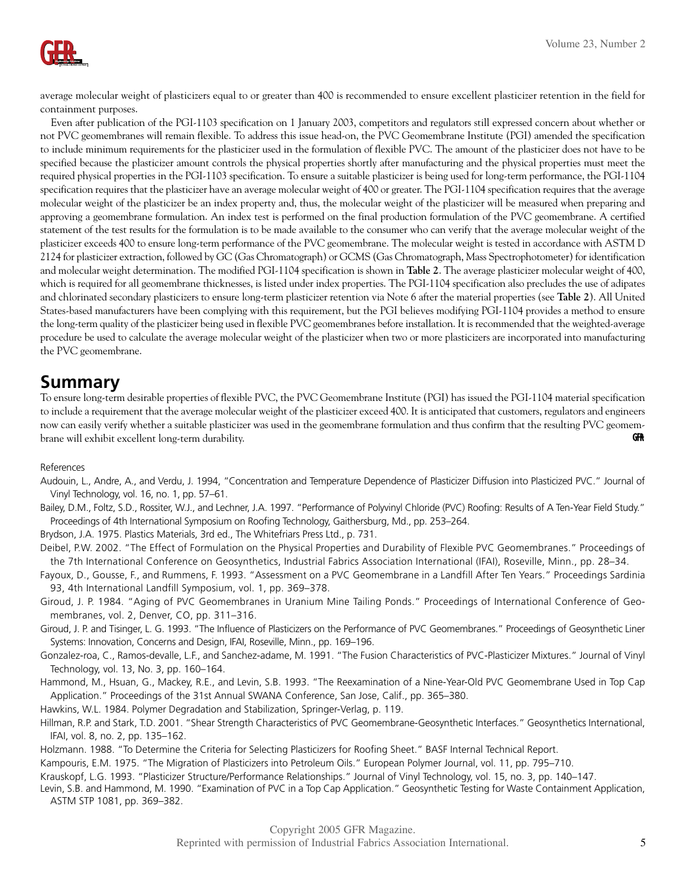

average molecular weight of plasticizers equal to or greater than 400 is recommended to ensure excellent plasticizer retention in the field for containment purposes.

Even after publication of the PGI-1103 specification on 1 January 2003, competitors and regulators still expressed concern about whether or not PVC geomembranes will remain flexible. To address this issue head-on, the PVC Geomembrane Institute (PGI) amended the specification to include minimum requirements for the plasticizer used in the formulation of flexible PVC. The amount of the plasticizer does not have to be specified because the plasticizer amount controls the physical properties shortly after manufacturing and the physical properties must meet the required physical properties in the PGI-1103 specification. To ensure a suitable plasticizer is being used for long-term performance, the PGI-1104 specification requires that the plasticizer have an average molecular weight of 400 or greater. The PGI-1104 specification requires that the average molecular weight of the plasticizer be an index property and, thus, the molecular weight of the plasticizer will be measured when preparing and approving a geomembrane formulation. An index test is performed on the final production formulation of the PVC geomembrane. A certified statement of the test results for the formulation is to be made available to the consumer who can verify that the average molecular weight of the plasticizer exceeds 400 to ensure long-term performance of the PVC geomembrane. The molecular weight is tested in accordance with ASTM D 2124 for plasticizer extraction, followed by GC (Gas Chromatograph) or GCMS (Gas Chromatograph, Mass Spectrophotometer) for identification and molecular weight determination. The modified PGI-1104 specification is shown in **Table 2**. The average plasticizer molecular weight of 400, which is required for all geomembrane thicknesses, is listed under index properties. The PGI-1104 specification also precludes the use of adipates and chlorinated secondary plasticizers to ensure long-term plasticizer retention via Note 6 after the material properties (see **Table 2**). All United States-based manufacturers have been complying with this requirement, but the PGI believes modifying PGI-1104 provides a method to ensure the long-term quality of the plasticizer being used in flexible PVC geomembranes before installation. It is recommended that the weighted-average procedure be used to calculate the average molecular weight of the plasticizer when two or more plasticizers are incorporated into manufacturing the PVC geomembrane.

## **Summary**

To ensure long-term desirable properties of flexible PVC, the PVC Geomembrane Institute (PGI) has issued the PGI-1104 material specification to include a requirement that the average molecular weight of the plasticizer exceed 400. It is anticipated that customers, regulators and engineers now can easily verify whether a suitable plasticizer was used in the geomembrane formulation and thus confirm that the resulting PVC geomembrane will exhibit excellent long-term durability. **GFR** 

## References

- Audouin, L., Andre, A., and Verdu, J. 1994, "Concentration and Temperature Dependence of Plasticizer Diffusion into Plasticized PVC." Journal of Vinyl Technology, vol. 16, no. 1, pp. 57–61.
- Bailey, D.M., Foltz, S.D., Rossiter, W.J., and Lechner, J.A. 1997. "Performance of Polyvinyl Chloride (PVC) Roofing: Results of A Ten-Year Field Study." Proceedings of 4th International Symposium on Roofing Technology, Gaithersburg, Md., pp. 253–264.

Brydson, J.A. 1975. Plastics Materials, 3rd ed., The Whitefriars Press Ltd., p. 731.

- Deibel, P.W. 2002. "The Effect of Formulation on the Physical Properties and Durability of Flexible PVC Geomembranes." Proceedings of the 7th International Conference on Geosynthetics, Industrial Fabrics Association International (IFAI), Roseville, Minn., pp. 28–34.
- Fayoux, D., Gousse, F., and Rummens, F. 1993. "Assessment on a PVC Geomembrane in a Landfill After Ten Years." Proceedings Sardinia 93, 4th International Landfill Symposium, vol. 1, pp. 369–378.
- Giroud, J. P. 1984. "Aging of PVC Geomembranes in Uranium Mine Tailing Ponds." Proceedings of International Conference of Geomembranes, vol. 2, Denver, CO, pp. 311–316.
- Giroud, J. P. and Tisinger, L. G. 1993. "The Influence of Plasticizers on the Performance of PVC Geomembranes." Proceedings of Geosynthetic Liner Systems: Innovation, Concerns and Design, IFAI, Roseville, Minn., pp. 169–196.
- Gonzalez-roa, C., Ramos-devalle, L.F., and Sanchez-adame, M. 1991. "The Fusion Characteristics of PVC-Plasticizer Mixtures." Journal of Vinyl Technology, vol. 13, No. 3, pp. 160–164.
- Hammond, M., Hsuan, G., Mackey, R.E., and Levin, S.B. 1993. "The Reexamination of a Nine-Year-Old PVC Geomembrane Used in Top Cap Application." Proceedings of the 31st Annual SWANA Conference, San Jose, Calif., pp. 365–380.
- Hawkins, W.L. 1984. Polymer Degradation and Stabilization, Springer-Verlag, p. 119.
- Hillman, R.P. and Stark, T.D. 2001. "Shear Strength Characteristics of PVC Geomembrane-Geosynthetic Interfaces." Geosynthetics International, IFAI, vol. 8, no. 2, pp. 135–162.
- Holzmann. 1988. "To Determine the Criteria for Selecting Plasticizers for Roofing Sheet." BASF Internal Technical Report.
- Kampouris, E.M. 1975. "The Migration of Plasticizers into Petroleum Oils." European Polymer Journal, vol. 11, pp. 795–710.
- Krauskopf, L.G. 1993. "Plasticizer Structure/Performance Relationships." Journal of Vinyl Technology, vol. 15, no. 3, pp. 140–147.
- Levin, S.B. and Hammond, M. 1990. "Examination of PVC in a Top Cap Application." Geosynthetic Testing for Waste Containment Application, ASTM STP 1081, pp. 369–382.